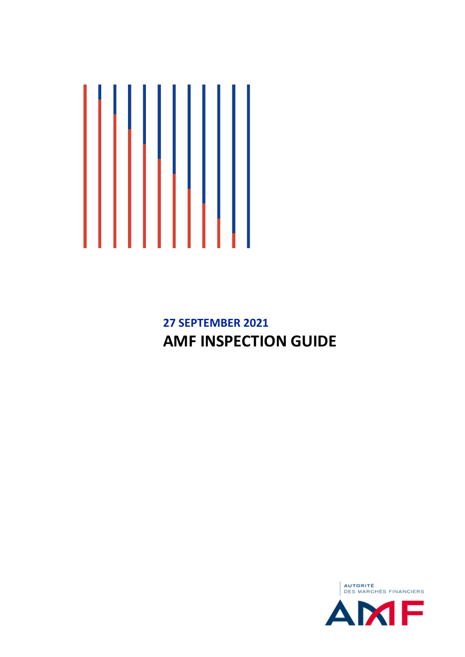

**27 SEPTEMBER 2021 AMF INSPECTION GUIDE**

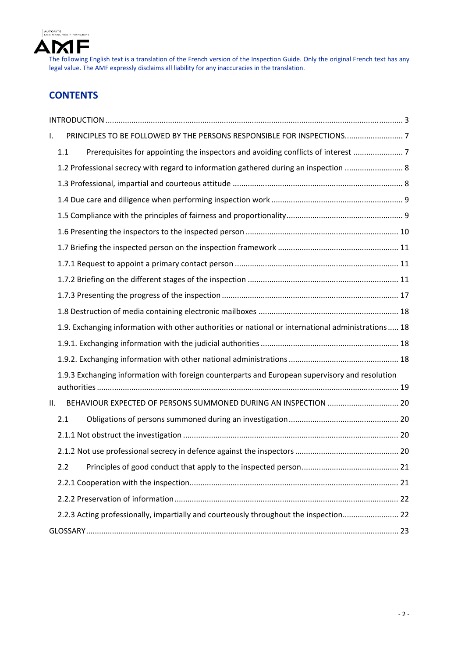

# **CONTENTS**

| ı.  | PRINCIPLES TO BE FOLLOWED BY THE PERSONS RESPONSIBLE FOR INSPECTIONS7                              |  |
|-----|----------------------------------------------------------------------------------------------------|--|
|     | Prerequisites for appointing the inspectors and avoiding conflicts of interest<br>1.1              |  |
|     | 1.2 Professional secrecy with regard to information gathered during an inspection  8               |  |
|     |                                                                                                    |  |
|     |                                                                                                    |  |
|     |                                                                                                    |  |
|     |                                                                                                    |  |
|     |                                                                                                    |  |
|     |                                                                                                    |  |
|     |                                                                                                    |  |
|     |                                                                                                    |  |
|     |                                                                                                    |  |
|     | 1.9. Exchanging information with other authorities or national or international administrations 18 |  |
|     |                                                                                                    |  |
|     |                                                                                                    |  |
|     | 1.9.3 Exchanging information with foreign counterparts and European supervisory and resolution     |  |
|     |                                                                                                    |  |
| ΙΙ. | BEHAVIOUR EXPECTED OF PERSONS SUMMONED DURING AN INSPECTION  20                                    |  |
|     | 2.1                                                                                                |  |
|     |                                                                                                    |  |
|     |                                                                                                    |  |
|     | 2.2                                                                                                |  |
|     |                                                                                                    |  |
|     |                                                                                                    |  |
|     | 2.2.3 Acting professionally, impartially and courteously throughout the inspection 22              |  |
|     |                                                                                                    |  |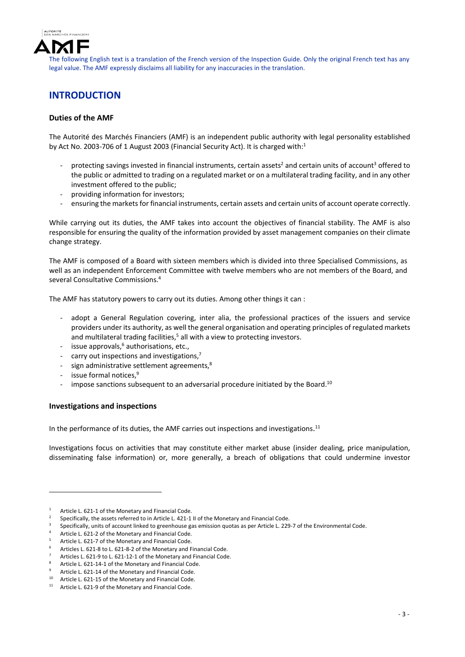

# **INTRODUCTION**

### **Duties of the AMF**

The Autorité des Marchés Financiers (AMF) is an independent public authority with legal personality established by Act No. 2003-706 of 1 August 2003 (Financial Security Act). It is charged with:<sup>1</sup>

- protecting savings invested in financial instruments, certain assets<sup>2</sup> and certain units of account<sup>3</sup> offered to the public or admitted to trading on a regulated market or on a multilateral trading facility, and in any other investment offered to the public;
- ‐ providing information for investors;
- ensuring the markets for financial instruments, certain assets and certain units of account operate correctly.

While carrying out its duties, the AMF takes into account the objectives of financial stability. The AMF is also responsible for ensuring the quality of the information provided by asset management companies on their climate change strategy.

The AMF is composed of a Board with sixteen members which is divided into three Specialised Commissions, as well as an independent Enforcement Committee with twelve members who are not members of the Board, and several Consultative Commissions.4

The AMF has statutory powers to carry out its duties. Among other things it can :

- adopt a General Regulation covering, inter alia, the professional practices of the issuers and service providers under its authority, as well the general organisation and operating principles of regulated markets and multilateral trading facilities, $5$  all with a view to protecting investors.
- issue approvals, $6$  authorisations, etc.,
- ‐ carry out inspections and investigations,7
- sign administrative settlement agreements,<sup>8</sup>
- issue formal notices,<sup>9</sup>
- impose sanctions subsequent to an adversarial procedure initiated by the Board.<sup>10</sup>

### **Investigations and inspections**

1

In the performance of its duties, the AMF carries out inspections and investigations.<sup>11</sup>

Investigations focus on activities that may constitute either market abuse (insider dealing, price manipulation, disseminating false information) or, more generally, a breach of obligations that could undermine investor

<sup>1</sup> Article L. 621‐1 of the Monetary and Financial Code.

<sup>2</sup> Specifically, the assets referred to in Article L. 421-1 II of the Monetary and Financial Code.

<sup>3</sup> Specifically, units of account linked to greenhouse gas emission quotas as per Article L. 229‐7 of the Environmental Code.

<sup>4</sup> Article L. 621‐2 of the Monetary and Financial Code.

<sup>5</sup> Article L. 621‐7 of the Monetary and Financial Code.

<sup>6</sup> Articles L. 621‐8 to L. 621‐8‐2 of the Monetary and Financial Code.

<sup>7</sup> Articles L. 621‐9 to L. 621‐12‐1 of the Monetary and Financial Code.

<sup>8</sup> Article L. 621‐14‐1 of the Monetary and Financial Code.

<sup>9</sup> Article L. 621‐14 of the Monetary and Financial Code.

<sup>&</sup>lt;sup>10</sup> Article L. 621-15 of the Monetary and Financial Code.<br><sup>11</sup> Article L. 621, 0 of the Monetary and Financial Code.

Article L. 621-9 of the Monetary and Financial Code.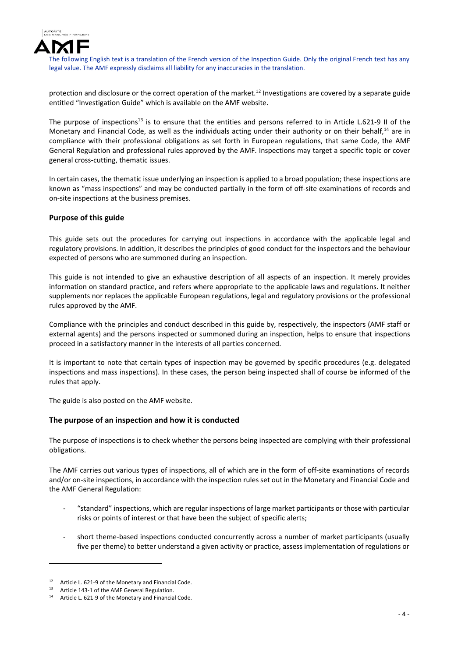

protection and disclosure or the correct operation of the market.12 Investigations are covered by a separate guide entitled "Investigation Guide" which is available on the AMF website.

The purpose of inspections<sup>13</sup> is to ensure that the entities and persons referred to in Article L.621-9 II of the Monetary and Financial Code, as well as the individuals acting under their authority or on their behalf, $^{14}$  are in compliance with their professional obligations as set forth in European regulations, that same Code, the AMF General Regulation and professional rules approved by the AMF. Inspections may target a specific topic or cover general cross‐cutting, thematic issues.

In certain cases, the thematic issue underlying an inspection is applied to a broad population; these inspections are known as "mass inspections" and may be conducted partially in the form of off‐site examinations of records and on‐site inspections at the business premises.

### **Purpose of this guide**

This guide sets out the procedures for carrying out inspections in accordance with the applicable legal and regulatory provisions. In addition, it describes the principles of good conduct for the inspectors and the behaviour expected of persons who are summoned during an inspection.

This guide is not intended to give an exhaustive description of all aspects of an inspection. It merely provides information on standard practice, and refers where appropriate to the applicable laws and regulations. It neither supplements nor replaces the applicable European regulations, legal and regulatory provisions or the professional rules approved by the AMF.

Compliance with the principles and conduct described in this guide by, respectively, the inspectors (AMF staff or external agents) and the persons inspected or summoned during an inspection, helps to ensure that inspections proceed in a satisfactory manner in the interests of all parties concerned.

It is important to note that certain types of inspection may be governed by specific procedures (e.g. delegated inspections and mass inspections). In these cases, the person being inspected shall of course be informed of the rules that apply.

The guide is also posted on the AMF website.

### **The purpose of an inspection and how it is conducted**

The purpose of inspections is to check whether the persons being inspected are complying with their professional obligations.

The AMF carries out various types of inspections, all of which are in the form of off‐site examinations of records and/or on-site inspections, in accordance with the inspection rules set out in the Monetary and Financial Code and the AMF General Regulation:

- ‐ "standard" inspections, which are regular inspections of large market participants or those with particular risks or points of interest or that have been the subject of specific alerts;
- short theme-based inspections conducted concurrently across a number of market participants (usually five per theme) to better understand a given activity or practice, assess implementation of regulations or

Article L. 621-9 of the Monetary and Financial Code.

<sup>13</sup> Article 143-1 of the AMF General Regulation.<br>14 Article L 621.0 of the Monetary and Einancia

Article L. 621-9 of the Monetary and Financial Code.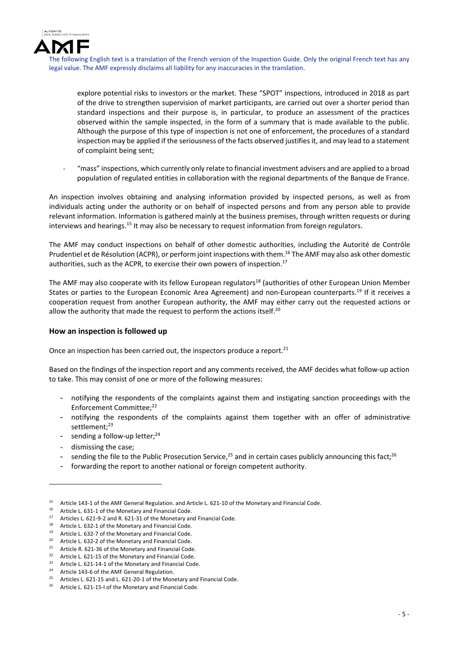

explore potential risks to investors or the market. These "SPOT" inspections, introduced in 2018 as part of the drive to strengthen supervision of market participants, are carried out over a shorter period than standard inspections and their purpose is, in particular, to produce an assessment of the practices observed within the sample inspected, in the form of a summary that is made available to the public. Although the purpose of this type of inspection is not one of enforcement, the procedures of a standard inspection may be applied if the seriousness of the facts observed justifies it, and may lead to a statement of complaint being sent;

‐ "mass" inspections, which currently only relate to financial investment advisers and are applied to a broad population of regulated entities in collaboration with the regional departments of the Banque de France.

An inspection involves obtaining and analysing information provided by inspected persons, as well as from individuals acting under the authority or on behalf of inspected persons and from any person able to provide relevant information. Information is gathered mainly at the business premises, through written requests or during interviews and hearings.<sup>15</sup> It may also be necessary to request information from foreign regulators.

The AMF may conduct inspections on behalf of other domestic authorities, including the Autorité de Contrôle Prudentiel et de Résolution (ACPR), or perform joint inspections with them.<sup>16</sup> The AMF may also ask other domestic authorities, such as the ACPR, to exercise their own powers of inspection.<sup>17</sup>

The AMF may also cooperate with its fellow European regulators<sup>18</sup> (authorities of other European Union Member States or parties to the European Economic Area Agreement) and non-European counterparts.<sup>19</sup> If it receives a cooperation request from another European authority, the AMF may either carry out the requested actions or allow the authority that made the request to perform the actions itself.<sup>20</sup>

#### **How an inspection is followed up**

Once an inspection has been carried out, the inspectors produce a report.<sup>21</sup>

Based on the findings of the inspection report and any comments received, the AMF decides what follow‐up action to take. This may consist of one or more of the following measures:

- notifying the respondents of the complaints against them and instigating sanction proceedings with the Enforcement Committee;22
- notifying the respondents of the complaints against them together with an offer of administrative settlement;<sup>23</sup>
- sending a follow-up letter;<sup>24</sup>
- dismissing the case;

- sending the file to the Public Prosecution Service,  $25$  and in certain cases publicly announcing this fact;  $26$
- forwarding the report to another national or foreign competent authority.

<sup>15</sup> Article 143-1 of the AMF General Regulation. and Article L. 621-10 of the Monetary and Financial Code.<br>16 Article L. 621-1 of the Monetary and Financial Code

<sup>&</sup>lt;sup>16</sup> Article L. 631-1 of the Monetary and Financial Code.<br><sup>17</sup> Articles L. 631-0.2 and P. 631-21 of the Monetary and

<sup>17</sup> Articles L. 621–9–2 and R. 621–31 of the Monetary and Financial Code.

<sup>&</sup>lt;sup>18</sup> Article L. 632-1 of the Monetary and Financial Code.<br><sup>19</sup> Article L. 632.7 of the Monetary and Financial Code.

<sup>&</sup>lt;sup>19</sup> Article L. 632-7 of the Monetary and Financial Code.<br><sup>20</sup> Article L. 622-2 of the Monetary and Financial Code.

<sup>&</sup>lt;sup>20</sup> Article L. 632-2 of the Monetary and Financial Code.<br><sup>21</sup> Article B. 621, 26 of the Monetary and Financial Code.

<sup>&</sup>lt;sup>21</sup> Article R. 621-36 of the Monetary and Financial Code.

Article L. 621-15 of the Monetary and Financial Code.

<sup>&</sup>lt;sup>23</sup> Article L. 621-14-1 of the Monetary and Financial Code.

Article 143-6 of the AMF General Regulation.

Articles L. 621-15 and L. 621-20-1 of the Monetary and Financial Code.

Article L. 621-15-I of the Monetary and Financial Code.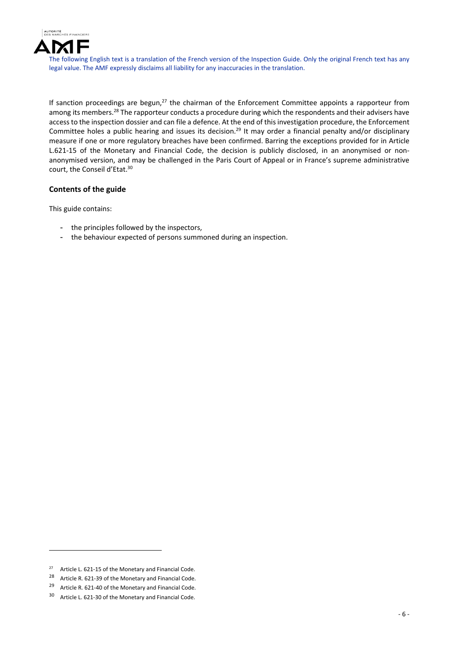

If sanction proceedings are begun, $27$  the chairman of the Enforcement Committee appoints a rapporteur from among its members.<sup>28</sup> The rapporteur conducts a procedure during which the respondents and their advisers have accessto the inspection dossier and can file a defence. At the end of this investigation procedure, the Enforcement Committee holes a public hearing and issues its decision.<sup>29</sup> It may order a financial penalty and/or disciplinary measure if one or more regulatory breaches have been confirmed. Barring the exceptions provided for in Article L.621-15 of the Monetary and Financial Code, the decision is publicly disclosed, in an anonymised or nonanonymised version, and may be challenged in the Paris Court of Appeal or in France's supreme administrative court, the Conseil d'Etat.30

### **Contents of the guide**

This guide contains:

- the principles followed by the inspectors,
- the behaviour expected of persons summoned during an inspection.

<u>.</u>

 $27$  Article L. 621-15 of the Monetary and Financial Code.

<sup>28</sup> Article R. 621-39 of the Monetary and Financial Code.

<sup>&</sup>lt;sup>29</sup> Article R. 621-40 of the Monetary and Financial Code.

<sup>30</sup> Article L. 621-30 of the Monetary and Financial Code.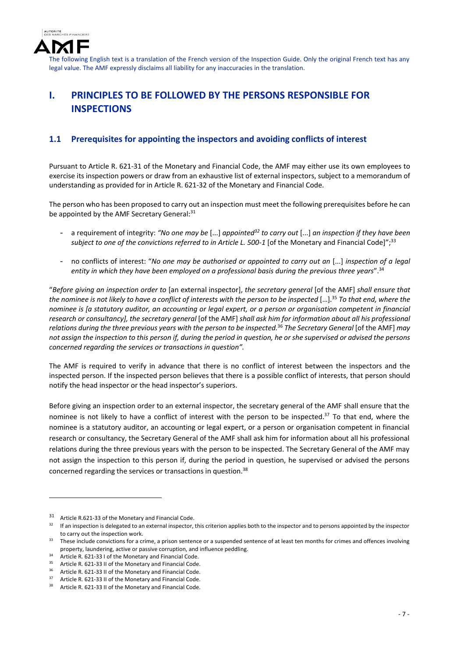

# **I. PRINCIPLES TO BE FOLLOWED BY THE PERSONS RESPONSIBLE FOR INSPECTIONS**

### **1.1 Prerequisites for appointing the inspectors and avoiding conflicts of interest**

Pursuant to Article R. 621‐31 of the Monetary and Financial Code, the AMF may either use its own employees to exercise its inspection powers or draw from an exhaustive list of external inspectors, subject to a memorandum of understanding as provided for in Article R. 621‐32 of the Monetary and Financial Code.

The person who has been proposed to carry out an inspection must meet the following prerequisites before he can be appointed by the AMF Secretary General: 31

- a requirement of integrity: *"No one may be* [...] *appointed32 to carry out* [...] *an inspection if they have been subject to one of the convictions referred to in Article L. 500‐1* [of the Monetary and Financial Code]";33
- no conflicts of interest: "*No one may be authorised or appointed to carry out an* [...] *inspection of a legal entity in which they have been employed on a professional basis during the previous three years*".34

"*Before giving an inspection order to* [an external inspector], *the secretary general* [of the AMF] *shall ensure that* the nominee is not likely to have a conflict of interests with the person to be inspected [...].<sup>35</sup> To that end, where the nominee is [a statutory auditor, an accounting or legal expert, or a person or organisation competent in financial *research or consultancy], the secretary general* [of the AMF] *shall ask him for information about all his professional* relations during the three previous years with the person to be inspected.<sup>36</sup> The Secretary General [of the AMF] may not assign the inspection to this person if, during the period in question, he or she supervised or advised the persons *concerned regarding the services or transactions in question".*

The AMF is required to verify in advance that there is no conflict of interest between the inspectors and the inspected person. If the inspected person believes that there is a possible conflict of interests, that person should notify the head inspector or the head inspector's superiors.

Before giving an inspection order to an external inspector, the secretary general of the AMF shall ensure that the nominee is not likely to have a conflict of interest with the person to be inspected.<sup>37</sup> To that end, where the nominee is a statutory auditor, an accounting or legal expert, or a person or organisation competent in financial research or consultancy, the Secretary General of the AMF shall ask him for information about all his professional relations during the three previous years with the person to be inspected. The Secretary General of the AMF may not assign the inspection to this person if, during the period in question, he supervised or advised the persons concerned regarding the services or transactions in question.38

<u>.</u>

<sup>31</sup> Article R.621-33 of the Monetary and Financial Code.<br> $32$  If an inspection is delegated to an external inspector

If an inspection is delegated to an external inspector, this criterion applies both to the inspector and to persons appointed by the inspector to carry out the inspection work.

<sup>&</sup>lt;sup>33</sup> These include convictions for a crime, a prison sentence or a suspended sentence of at least ten months for crimes and offences involving property, laundering, active or passive corruption, and influence peddling.

<sup>&</sup>lt;sup>34</sup> Article R. 621-33 I of the Monetary and Financial Code.

<sup>&</sup>lt;sup>35</sup> Article R. 621-33 II of the Monetary and Financial Code.

Article R. 621-33 II of the Monetary and Financial Code.

 $37$  Article R. 621-33 II of the Monetary and Financial Code.<br> $38$  Article B. 621, 32 II of the Monetary and Financial Code.

Article R. 621-33 II of the Monetary and Financial Code.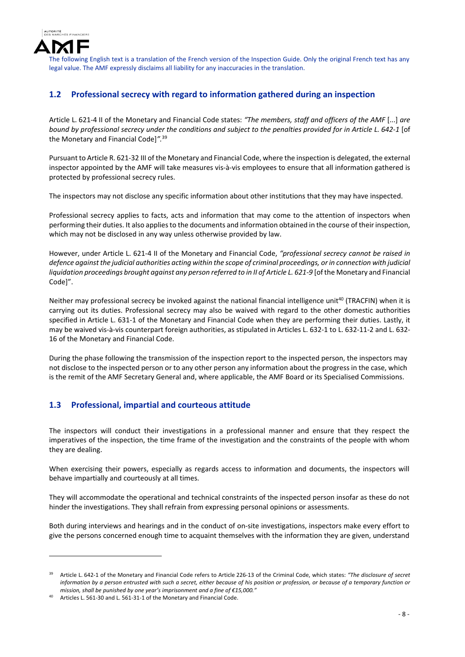

## **1.2 Professional secrecy with regard to information gathered during an inspection**

Article L. 621‐4 II of the Monetary and Financial Code states: *"The members, staff and officers of the AMF* [...] *are* bound by professional secrecy under the conditions and subject to the penalties provided for in Article L. 642-1 [of the Monetary and Financial Code]*".*<sup>39</sup>

Pursuant to Article R. 621‐32 III of the Monetary and Financial Code, where the inspection is delegated, the external inspector appointed by the AMF will take measures vis‐à‐vis employees to ensure that all information gathered is protected by professional secrecy rules.

The inspectors may not disclose any specific information about other institutions that they may have inspected.

Professional secrecy applies to facts, acts and information that may come to the attention of inspectors when performing their duties. It also applies to the documents and information obtained in the course of their inspection, which may not be disclosed in any way unless otherwise provided by law.

However, under Article L. 621‐4 II of the Monetary and Financial Code, *"professional secrecy cannot be raised in* defence against the judicial authorities acting within the scope of criminal proceedings, or in connection with judicial liquidation proceedings brought against any person referred to in II of Article L. 621-9 [of the Monetary and Financial Code]".

Neither may professional secrecy be invoked against the national financial intelligence unit<sup>40</sup> (TRACFIN) when it is carrying out its duties. Professional secrecy may also be waived with regard to the other domestic authorities specified in Article L. 631-1 of the Monetary and Financial Code when they are performing their duties. Lastly, it may be waived vis‐à‐vis counterpart foreign authorities, as stipulated in Articles L. 632‐1 to L. 632‐11‐2 and L. 632‐ 16 of the Monetary and Financial Code.

During the phase following the transmission of the inspection report to the inspected person, the inspectors may not disclose to the inspected person or to any other person any information about the progress in the case, which is the remit of the AMF Secretary General and, where applicable, the AMF Board or its Specialised Commissions.

## **1.3 Professional, impartial and courteous attitude**

The inspectors will conduct their investigations in a professional manner and ensure that they respect the imperatives of the inspection, the time frame of the investigation and the constraints of the people with whom they are dealing.

When exercising their powers, especially as regards access to information and documents, the inspectors will behave impartially and courteously at all times.

They will accommodate the operational and technical constraints of the inspected person insofar as these do not hinder the investigations. They shall refrain from expressing personal opinions or assessments.

Both during interviews and hearings and in the conduct of on‐site investigations, inspectors make every effort to give the persons concerned enough time to acquaint themselves with the information they are given, understand

<sup>39</sup> Article L. 642‐1 of the Monetary and Financial Code refers to Article 226‐13 of the Criminal Code, which states: *"The disclosure of secret* information by a person entrusted with such a secret, either because of his position or profession, or because of a temporary function or *mission, shall be punished by one year's imprisonment and a fine of €15,000."*

Articles L. 561-30 and L. 561-31-1 of the Monetary and Financial Code.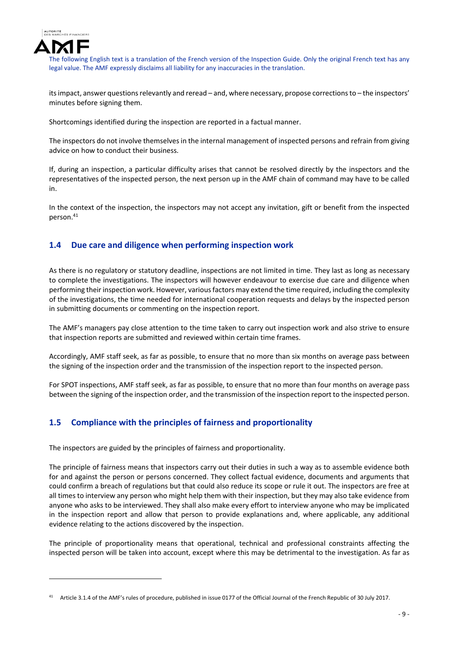

1

The following English text is a translation of the French version of the Inspection Guide. Only the original French text has any legal value. The AMF expressly disclaims all liability for any inaccuracies in the translation.

its impact, answer questions relevantly and reread – and, where necessary, propose corrections to – the inspectors' minutes before signing them.

Shortcomings identified during the inspection are reported in a factual manner.

The inspectors do not involve themselves in the internal management of inspected persons and refrain from giving advice on how to conduct their business.

If, during an inspection, a particular difficulty arises that cannot be resolved directly by the inspectors and the representatives of the inspected person, the next person up in the AMF chain of command may have to be called in.

In the context of the inspection, the inspectors may not accept any invitation, gift or benefit from the inspected person.<sup>41</sup>

### **1.4 Due care and diligence when performing inspection work**

As there is no regulatory or statutory deadline, inspections are not limited in time. They last as long as necessary to complete the investigations. The inspectors will however endeavour to exercise due care and diligence when performing their inspection work. However, various factors may extend the time required, including the complexity of the investigations, the time needed for international cooperation requests and delays by the inspected person in submitting documents or commenting on the inspection report.

The AMF's managers pay close attention to the time taken to carry out inspection work and also strive to ensure that inspection reports are submitted and reviewed within certain time frames.

Accordingly, AMF staff seek, as far as possible, to ensure that no more than six months on average pass between the signing of the inspection order and the transmission of the inspection report to the inspected person.

For SPOT inspections, AMF staff seek, as far as possible, to ensure that no more than four months on average pass between the signing of the inspection order, and the transmission of the inspection report to the inspected person.

### **1.5 Compliance with the principles of fairness and proportionality**

The inspectors are guided by the principles of fairness and proportionality.

The principle of fairness means that inspectors carry out their duties in such a way as to assemble evidence both for and against the person or persons concerned. They collect factual evidence, documents and arguments that could confirm a breach of regulations but that could also reduce its scope or rule it out. The inspectors are free at all times to interview any person who might help them with their inspection, but they may also take evidence from anyone who asks to be interviewed. They shall also make every effort to interview anyone who may be implicated in the inspection report and allow that person to provide explanations and, where applicable, any additional evidence relating to the actions discovered by the inspection.

The principle of proportionality means that operational, technical and professional constraints affecting the inspected person will be taken into account, except where this may be detrimental to the investigation. As far as

Article 3.1.4 of the AMF's rules of procedure, published in issue 0177 of the Official Journal of the French Republic of 30 July 2017.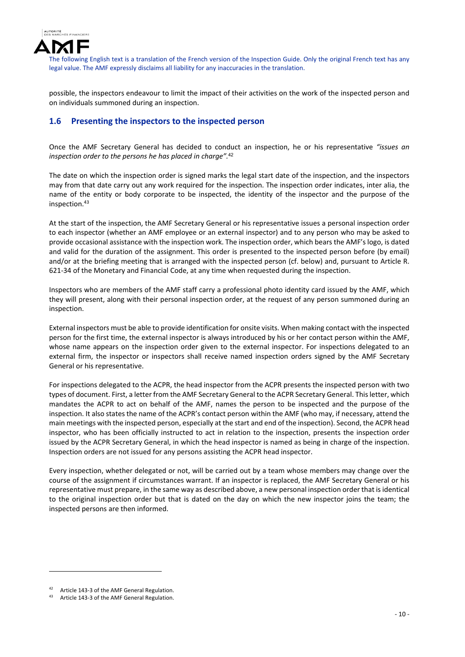

possible, the inspectors endeavour to limit the impact of their activities on the work of the inspected person and on individuals summoned during an inspection.

### **1.6 Presenting the inspectors to the inspected person**

Once the AMF Secretary General has decided to conduct an inspection, he or his representative *"issues an inspection order to the persons he has placed in charge".*<sup>42</sup>

The date on which the inspection order is signed marks the legal start date of the inspection, and the inspectors may from that date carry out any work required for the inspection. The inspection order indicates, inter alia, the name of the entity or body corporate to be inspected, the identity of the inspector and the purpose of the inspection.<sup>43</sup>

At the start of the inspection, the AMF Secretary General or his representative issues a personal inspection order to each inspector (whether an AMF employee or an external inspector) and to any person who may be asked to provide occasional assistance with the inspection work. The inspection order, which bears the AMF's logo, is dated and valid for the duration of the assignment. This order is presented to the inspected person before (by email) and/or at the briefing meeting that is arranged with the inspected person (cf. below) and, pursuant to Article R. 621‐34 of the Monetary and Financial Code, at any time when requested during the inspection.

Inspectors who are members of the AMF staff carry a professional photo identity card issued by the AMF, which they will present, along with their personal inspection order, at the request of any person summoned during an inspection.

External inspectors must be able to provide identification for onsite visits. When making contact with the inspected person for the first time, the external inspector is always introduced by his or her contact person within the AMF, whose name appears on the inspection order given to the external inspector. For inspections delegated to an external firm, the inspector or inspectors shall receive named inspection orders signed by the AMF Secretary General or his representative.

For inspections delegated to the ACPR, the head inspector from the ACPR presents the inspected person with two types of document. First, a letter from the AMF Secretary General to the ACPR Secretary General. Thisletter, which mandates the ACPR to act on behalf of the AMF, names the person to be inspected and the purpose of the inspection. It also states the name of the ACPR's contact person within the AMF (who may, if necessary, attend the main meetings with the inspected person, especially at the start and end of the inspection). Second, the ACPR head inspector, who has been officially instructed to act in relation to the inspection, presents the inspection order issued by the ACPR Secretary General, in which the head inspector is named as being in charge of the inspection. Inspection orders are not issued for any persons assisting the ACPR head inspector.

Every inspection, whether delegated or not, will be carried out by a team whose members may change over the course of the assignment if circumstances warrant. If an inspector is replaced, the AMF Secretary General or his representative must prepare, in the same way as described above, a new personal inspection order that isidentical to the original inspection order but that is dated on the day on which the new inspector joins the team; the inspected persons are then informed.

<sup>42</sup> Article 143-3 of the AMF General Regulation.

Article 143-3 of the AMF General Regulation.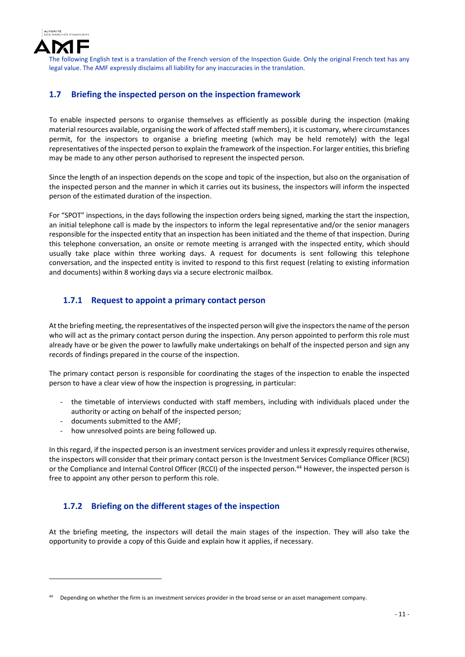

## **1.7 Briefing the inspected person on the inspection framework**

To enable inspected persons to organise themselves as efficiently as possible during the inspection (making material resources available, organising the work of affected staff members), it is customary, where circumstances permit, for the inspectors to organise a briefing meeting (which may be held remotely) with the legal representatives of the inspected person to explain the framework of the inspection. For larger entities, this briefing may be made to any other person authorised to represent the inspected person.

Since the length of an inspection depends on the scope and topic of the inspection, but also on the organisation of the inspected person and the manner in which it carries out its business, the inspectors will inform the inspected person of the estimated duration of the inspection.

For "SPOT" inspections, in the days following the inspection orders being signed, marking the start the inspection, an initial telephone call is made by the inspectors to inform the legal representative and/or the senior managers responsible for the inspected entity that an inspection has been initiated and the theme of that inspection. During this telephone conversation, an onsite or remote meeting is arranged with the inspected entity, which should usually take place within three working days. A request for documents is sent following this telephone conversation, and the inspected entity is invited to respond to this first request (relating to existing information and documents) within 8 working days via a secure electronic mailbox.

## **1.7.1 Request to appoint a primary contact person**

At the briefing meeting, the representatives of the inspected person will give the inspectorsthe name of the person who will act as the primary contact person during the inspection. Any person appointed to perform this role must already have or be given the power to lawfully make undertakings on behalf of the inspected person and sign any records of findings prepared in the course of the inspection.

The primary contact person is responsible for coordinating the stages of the inspection to enable the inspected person to have a clear view of how the inspection is progressing, in particular:

- the timetable of interviews conducted with staff members, including with individuals placed under the authority or acting on behalf of the inspected person;
- ‐ documents submitted to the AMF;

1

‐ how unresolved points are being followed up.

In this regard, if the inspected person is an investment services provider and unless it expressly requires otherwise, the inspectors will consider that their primary contact person is the Investment Services Compliance Officer (RCSI) or the Compliance and Internal Control Officer (RCCI) of the inspected person.<sup>44</sup> However, the inspected person is free to appoint any other person to perform this role.

## **1.7.2 Briefing on the different stages of the inspection**

At the briefing meeting, the inspectors will detail the main stages of the inspection. They will also take the opportunity to provide a copy of this Guide and explain how it applies, if necessary.

<sup>44</sup> Depending on whether the firm is an investment services provider in the broad sense or an asset management company.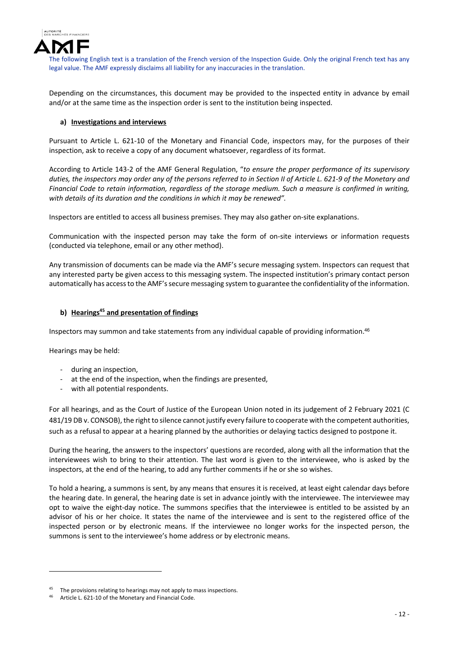

Depending on the circumstances, this document may be provided to the inspected entity in advance by email and/or at the same time as the inspection order is sent to the institution being inspected.

### **a) Investigations and interviews**

Pursuant to Article L. 621‐10 of the Monetary and Financial Code, inspectors may, for the purposes of their inspection, ask to receive a copy of any document whatsoever, regardless of its format.

According to Article 143‐2 of the AMF General Regulation, "*to ensure the proper performance of its supervisory* duties, the inspectors may order any of the persons referred to in Section II of Article L. 621-9 of the Monetary and Financial Code to retain information, regardless of the storage medium. Such a measure is confirmed in writing, *with details of its duration and the conditions in which it may be renewed".*

Inspectors are entitled to access all business premises. They may also gather on‐site explanations.

Communication with the inspected person may take the form of on‐site interviews or information requests (conducted via telephone, email or any other method).

Any transmission of documents can be made via the AMF's secure messaging system. Inspectors can request that any interested party be given access to this messaging system. The inspected institution's primary contact person automatically has accessto the AMF'ssecure messaging system to guarantee the confidentiality of the information.

### **b) Hearings45 and presentation of findings**

Inspectors may summon and take statements from any individual capable of providing information.<sup>46</sup>

Hearings may be held:

1

- ‐ during an inspection,
- ‐ at the end of the inspection, when the findings are presented,
- ‐ with all potential respondents.

For all hearings, and as the Court of Justice of the European Union noted in its judgement of 2 February 2021 (C 481/19 DB v. CONSOB), the right to silence cannot justify every failure to cooperate with the competent authorities, such as a refusal to appear at a hearing planned by the authorities or delaying tactics designed to postpone it.

During the hearing, the answers to the inspectors' questions are recorded, along with all the information that the interviewees wish to bring to their attention. The last word is given to the interviewee, who is asked by the inspectors, at the end of the hearing, to add any further comments if he or she so wishes.

To hold a hearing, a summons is sent, by any means that ensures it is received, at least eight calendar days before the hearing date. In general, the hearing date is set in advance jointly with the interviewee. The interviewee may opt to waive the eight‐day notice. The summons specifies that the interviewee is entitled to be assisted by an advisor of his or her choice. It states the name of the interviewee and is sent to the registered office of the inspected person or by electronic means. If the interviewee no longer works for the inspected person, the summons is sent to the interviewee's home address or by electronic means.

<sup>&</sup>lt;sup>45</sup> The provisions relating to hearings may not apply to mass inspections.

Article L. 621-10 of the Monetary and Financial Code.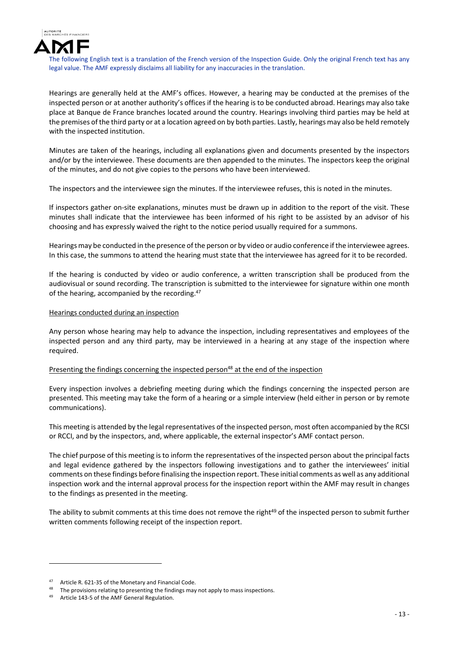

Hearings are generally held at the AMF's offices. However, a hearing may be conducted at the premises of the inspected person or at another authority's offices if the hearing is to be conducted abroad. Hearings may also take place at Banque de France branches located around the country. Hearings involving third parties may be held at the premises of the third party or at a location agreed on by both parties. Lastly, hearings may also be held remotely with the inspected institution.

Minutes are taken of the hearings, including all explanations given and documents presented by the inspectors and/or by the interviewee. These documents are then appended to the minutes. The inspectors keep the original of the minutes, and do not give copies to the persons who have been interviewed.

The inspectors and the interviewee sign the minutes. If the interviewee refuses, this is noted in the minutes.

If inspectors gather on-site explanations, minutes must be drawn up in addition to the report of the visit. These minutes shall indicate that the interviewee has been informed of his right to be assisted by an advisor of his choosing and has expressly waived the right to the notice period usually required for a summons.

Hearings may be conducted in the presence of the person or by video or audio conference if the interviewee agrees. In this case, the summons to attend the hearing must state that the interviewee has agreed for it to be recorded.

If the hearing is conducted by video or audio conference, a written transcription shall be produced from the audiovisual or sound recording. The transcription is submitted to the interviewee for signature within one month of the hearing, accompanied by the recording.<sup>47</sup>

#### Hearings conducted during an inspection

Any person whose hearing may help to advance the inspection, including representatives and employees of the inspected person and any third party, may be interviewed in a hearing at any stage of the inspection where required.

### Presenting the findings concerning the inspected person<sup>48</sup> at the end of the inspection

Every inspection involves a debriefing meeting during which the findings concerning the inspected person are presented. This meeting may take the form of a hearing or a simple interview (held either in person or by remote communications).

This meeting is attended by the legal representatives of the inspected person, most often accompanied by the RCSI or RCCI, and by the inspectors, and, where applicable, the external inspector's AMF contact person.

The chief purpose of this meeting is to inform the representatives of the inspected person about the principal facts and legal evidence gathered by the inspectors following investigations and to gather the interviewees' initial comments on these findings before finalising the inspection report. These initial comments as well as any additional inspection work and the internal approval process for the inspection report within the AMF may result in changes to the findings as presented in the meeting.

The ability to submit comments at this time does not remove the right<sup>49</sup> of the inspected person to submit further written comments following receipt of the inspection report.

Article R. 621-35 of the Monetary and Financial Code.

<sup>&</sup>lt;sup>48</sup> The provisions relating to presenting the findings may not apply to mass inspections.<br><sup>49</sup> Article 142 E of the AME General Begulation

Article 143-5 of the AMF General Regulation.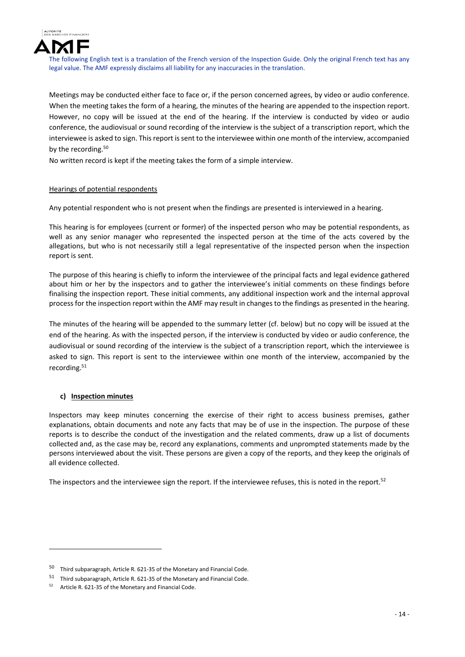

Meetings may be conducted either face to face or, if the person concerned agrees, by video or audio conference. When the meeting takes the form of a hearing, the minutes of the hearing are appended to the inspection report. However, no copy will be issued at the end of the hearing. If the interview is conducted by video or audio conference, the audiovisual or sound recording of the interview is the subject of a transcription report, which the interviewee is asked to sign. This report is sent to the interviewee within one month of the interview, accompanied by the recording.<sup>50</sup>

No written record is kept if the meeting takes the form of a simple interview.

### Hearings of potential respondents

Any potential respondent who is not present when the findings are presented is interviewed in a hearing.

This hearing is for employees (current or former) of the inspected person who may be potential respondents, as well as any senior manager who represented the inspected person at the time of the acts covered by the allegations, but who is not necessarily still a legal representative of the inspected person when the inspection report is sent.

The purpose of this hearing is chiefly to inform the interviewee of the principal facts and legal evidence gathered about him or her by the inspectors and to gather the interviewee's initial comments on these findings before finalising the inspection report. These initial comments, any additional inspection work and the internal approval process for the inspection report within the AMF may result in changes to the findings as presented in the hearing.

The minutes of the hearing will be appended to the summary letter (cf. below) but no copy will be issued at the end of the hearing. As with the inspected person, if the interview is conducted by video or audio conference, the audiovisual or sound recording of the interview is the subject of a transcription report, which the interviewee is asked to sign. This report is sent to the interviewee within one month of the interview, accompanied by the recording.<sup>51</sup>

### **c) Inspection minutes**

1

Inspectors may keep minutes concerning the exercise of their right to access business premises, gather explanations, obtain documents and note any facts that may be of use in the inspection. The purpose of these reports is to describe the conduct of the investigation and the related comments, draw up a list of documents collected and, as the case may be, record any explanations, comments and unprompted statements made by the persons interviewed about the visit. These persons are given a copy of the reports, and they keep the originals of all evidence collected.

The inspectors and the interviewee sign the report. If the interviewee refuses, this is noted in the report.<sup>52</sup>

<sup>50</sup> Third subparagraph, Article R. 621‐35 of the Monetary and Financial Code.

<sup>51</sup> Third subparagraph, Article R. 621‐35 of the Monetary and Financial Code.

Article R. 621-35 of the Monetary and Financial Code.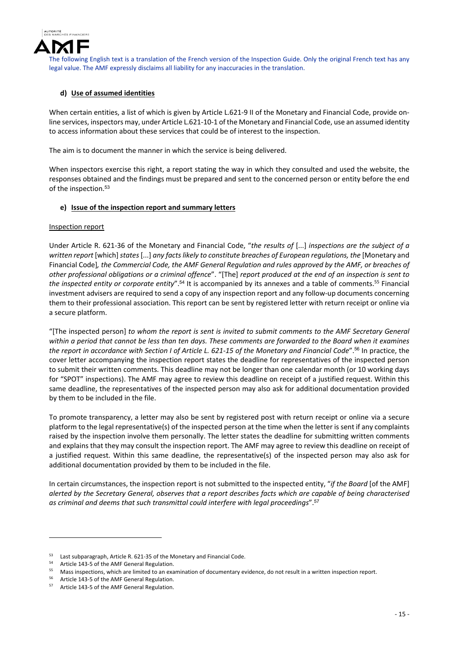

### **d) Use of assumed identities**

When certain entities, a list of which is given by Article L.621-9 II of the Monetary and Financial Code, provide online services, inspectors may, under Article L.621‐10‐1 of the Monetary and Financial Code, use an assumed identity to access information about these services that could be of interest to the inspection.

The aim is to document the manner in which the service is being delivered.

When inspectors exercise this right, a report stating the way in which they consulted and used the website, the responses obtained and the findings must be prepared and sent to the concerned person or entity before the end of the inspection.<sup>53</sup>

#### **e) Issue of the inspection report and summary letters**

#### Inspection report

Under Article R. 621‐36 of the Monetary and Financial Code, "*the results of* [...] *inspections are the subject of a written report* [which]*states*[...] *any factslikely to constitute breaches of European regulations, the* [Monetary and Financial Codel, the Commercial Code, the AMF General Regulation and rules approved by the AMF, or breaches of other professional obligations or a criminal offence". "[The] report produced at the end of an inspection is sent to *the inspected entity or corporate entity*".<sup>54</sup> It is accompanied by its annexes and a table of comments.55 Financial investment advisers are required to send a copy of any inspection report and any follow‐up documents concerning them to their professional association. This report can be sent by registered letter with return receipt or online via a secure platform.

"[The inspected person] *to whom the report is sent is invited to submit comments to the AMF Secretary General* within a period that cannot be less than ten days. These comments are forwarded to the Board when it examines the report in accordance with Section I of Article L. 621-15 of the Monetary and Financial Code".<sup>56</sup> In practice, the cover letter accompanying the inspection report states the deadline for representatives of the inspected person to submit their written comments. This deadline may not be longer than one calendar month (or 10 working days for "SPOT" inspections). The AMF may agree to review this deadline on receipt of a justified request. Within this same deadline, the representatives of the inspected person may also ask for additional documentation provided by them to be included in the file.

To promote transparency, a letter may also be sent by registered post with return receipt or online via a secure platform to the legal representative(s) of the inspected person at the time when the letter is sent if any complaints raised by the inspection involve them personally. The letter states the deadline for submitting written comments and explains that they may consult the inspection report. The AMF may agree to review this deadline on receipt of a justified request. Within this same deadline, the representative(s) of the inspected person may also ask for additional documentation provided by them to be included in the file.

In certain circumstances, the inspection report is not submitted to the inspected entity, "*if the Board* [of the AMF] alerted by the Secretary General, observes that a report describes facts which are capable of being characterised *as criminal and deems that such transmittal could interfere with legal proceedings*".<sup>57</sup>

 $53$  Last subparagraph, Article R, 621-35 of the Monetary and Financial Code.

<sup>54</sup> Article 143-5 of the AMF General Regulation.

<sup>55</sup> Mass inspections, which are limited to an examination of documentary evidence, do not result in a written inspection report.

<sup>&</sup>lt;sup>56</sup> Article 143-5 of the AMF General Regulation.<br> $57$  Article 143-5 of the AME General Regulation.

Article 143-5 of the AMF General Regulation.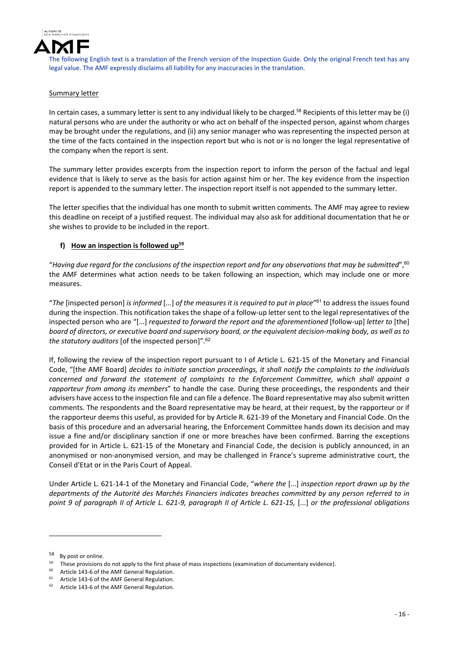

#### Summary letter

In certain cases, a summary letter is sent to any individual likely to be charged.<sup>58</sup> Recipients of this letter may be (i) natural persons who are under the authority or who act on behalf of the inspected person, against whom charges may be brought under the regulations, and (ii) any senior manager who was representing the inspected person at the time of the facts contained in the inspection report but who is not or is no longer the legal representative of the company when the report is sent.

The summary letter provides excerpts from the inspection report to inform the person of the factual and legal evidence that is likely to serve as the basis for action against him or her. The key evidence from the inspection report is appended to the summary letter. The inspection report itself is not appended to the summary letter.

The letter specifies that the individual has one month to submit written comments. The AMF may agree to review this deadline on receipt of a justified request. The individual may also ask for additional documentation that he or she wishes to provide to be included in the report.

### **f) How an inspection is followed up59**

"Having due regard for the conclusions of the inspection report and for any observations that may be submitted".<sup>60</sup> the AMF determines what action needs to be taken following an inspection, which may include one or more measures.

"*The* [inspected person] *is informed* [...] *of the measures it is required to put in place*"<sup>61</sup> to address the issues found during the inspection. This notification takes the shape of a follow-up letter sent to the legal representatives of the inspected person who are "[...] *requested to forward the report and the aforementioned* [follow‐up] *letter to* [the] board of directors, or executive board and supervisory board, or the equivalent decision-making body, as well as to *the statutory auditors* [of the inspected person]".<sup>62</sup>

If, following the review of the inspection report pursuant to I of Article L. 621‐15 of the Monetary and Financial Code, "[the AMF Board] *decides to initiate sanction proceedings, it shall notify the complaints to the individuals concerned and forward the statement of complaints to the Enforcement Committee, which shall appoint a rapporteur from among its members*" to handle the case. During these proceedings, the respondents and their advisers have accessto the inspection file and can file a defence. The Board representative may also submit written comments. The respondents and the Board representative may be heard, at their request, by the rapporteur or if the rapporteur deems this useful, as provided for by Article R. 621‐39 of the Monetary and Financial Code. On the basis of this procedure and an adversarial hearing, the Enforcement Committee hands down its decision and may issue a fine and/or disciplinary sanction if one or more breaches have been confirmed. Barring the exceptions provided for in Article L. 621‐15 of the Monetary and Financial Code, the decision is publicly announced, in an anonymised or non-anonymised version, and may be challenged in France's supreme administrative court, the Conseil d'Etat or in the Paris Court of Appeal.

Under Article L. 621‐14‐1 of the Monetary and Financial Code, "*where the* [...] *inspection report drawn up by the departments of the Autorité des Marchés Financiers indicates breaches committed by any person referred to in* point 9 of paragraph II of Article L. 621-9, paragraph II of Article L. 621-15, [...] or the professional obligations

<sup>58</sup> By post or online.

<sup>&</sup>lt;sup>59</sup> These provisions do not apply to the first phase of mass inspections (examination of documentary evidence).

Article 143-6 of the AMF General Regulation.

<sup>&</sup>lt;sup>61</sup> Article 143-6 of the AMF General Regulation.

Article 143-6 of the AMF General Regulation.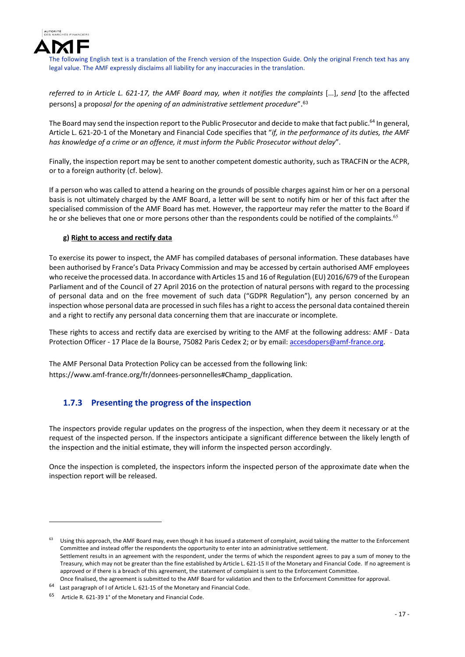

referred to in Article L. 621-17, the AMF Board may, when it notifies the complaints [...], send [to the affected persons] a propo*sal for the opening of an administrative settlement procedure*". 63

The Board may send the inspection report to the Public Prosecutor and decide to make that fact public.<sup>64</sup> In general, Article L. 621‐20‐1 of the Monetary and Financial Code specifies that "*if, in the performance of its duties, the AMF has knowledge of a crime or an offence, it must inform the Public Prosecutor without delay*".

Finally, the inspection report may be sent to another competent domestic authority, such as TRACFIN or the ACPR, or to a foreign authority (cf. below).

If a person who was called to attend a hearing on the grounds of possible charges against him or her on a personal basis is not ultimately charged by the AMF Board, a letter will be sent to notify him or her of this fact after the specialised commission of the AMF Board has met. However, the rapporteur may refer the matter to the Board if he or she believes that one or more persons other than the respondents could be notified of the complaints.<sup>65</sup>

### **g) Right to access and rectify data**

To exercise its power to inspect, the AMF has compiled databases of personal information. These databases have been authorised by France's Data Privacy Commission and may be accessed by certain authorised AMF employees who receive the processed data. In accordance with Articles 15 and 16 of Regulation (EU) 2016/679 of the European Parliament and of the Council of 27 April 2016 on the protection of natural persons with regard to the processing of personal data and on the free movement of such data ("GDPR Regulation"), any person concerned by an inspection whose personal data are processed in such files has a right to accessthe personal data contained therein and a right to rectify any personal data concerning them that are inaccurate or incomplete.

These rights to access and rectify data are exercised by writing to the AMF at the following address: AMF ‐ Data Protection Officer - 17 Place de la Bourse, 75082 Paris Cedex 2; or by email: accesdopers@amf-france.org.

The AMF Personal Data Protection Policy can be accessed from the following link: https://www.amf-france.org/fr/donnees-personnelles#Champ\_dapplication.

## **1.7.3 Presenting the progress of the inspection**

The inspectors provide regular updates on the progress of the inspection, when they deem it necessary or at the request of the inspected person. If the inspectors anticipate a significant difference between the likely length of the inspection and the initial estimate, they will inform the inspected person accordingly.

Once the inspection is completed, the inspectors inform the inspected person of the approximate date when the inspection report will be released.

Using this approach, the AMF Board may, even though it has issued a statement of complaint, avoid taking the matter to the Enforcement Committee and instead offer the respondents the opportunity to enter into an administrative settlement. Settlement results in an agreement with the respondent, under the terms of which the respondent agrees to pay a sum of money to the Treasury, which may not be greater than the fine established by Article L. 621‐15 II of the Monetary and Financial Code. If no agreement is approved or if there is a breach of this agreement, the statement of complaint is sent to the Enforcement Committee. Once finalised, the agreement is submitted to the AMF Board for validation and then to the Enforcement Committee for approval.

<sup>64</sup> Last paragraph of I of Article L. 621‐15 of the Monetary and Financial Code.

<sup>65</sup> Article R. 621‐39 1° of the Monetary and Financial Code.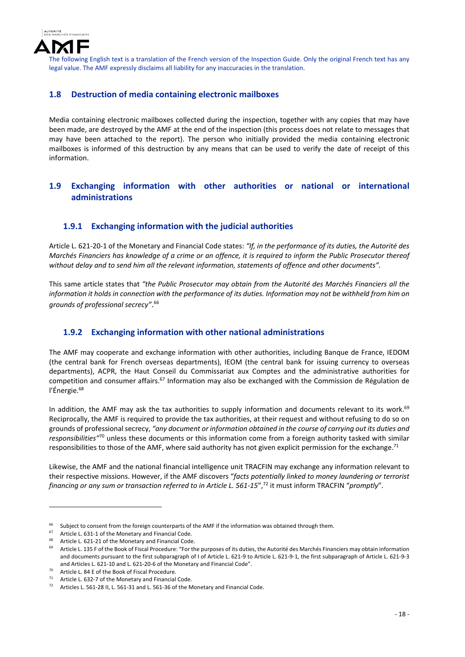

## **1.8 Destruction of media containing electronic mailboxes**

Media containing electronic mailboxes collected during the inspection, together with any copies that may have been made, are destroyed by the AMF at the end of the inspection (this process does not relate to messages that may have been attached to the report). The person who initially provided the media containing electronic mailboxes is informed of this destruction by any means that can be used to verify the date of receipt of this information.

## **1.9 Exchanging information with other authorities or national or international administrations**

## **1.9.1 Exchanging information with the judicial authorities**

Article L. 621‐20‐1 of the Monetary and Financial Code states: *"If, in the performance of its duties, the Autorité des* Marchés Financiers has knowledge of a crime or an offence, it is required to inform the Public Prosecutor thereof *without delay and to send him all the relevant information, statements of offence and other documents".*

This same article states that *"the Public Prosecutor may obtain from the Autorité des Marchés Financiers all the* information it holds in connection with the performance of its duties. Information may not be withheld from him on *grounds of professional secrecy"*. 66

## **1.9.2 Exchanging information with other national administrations**

The AMF may cooperate and exchange information with other authorities, including Banque de France, IEDOM (the central bank for French overseas departments), IEOM (the central bank for issuing currency to overseas departments), ACPR, the Haut Conseil du Commissariat aux Comptes and the administrative authorities for competition and consumer affairs.67 Information may also be exchanged with the Commission de Régulation de l'Énergie.<sup>68</sup>

In addition, the AMF may ask the tax authorities to supply information and documents relevant to its work.<sup>69</sup> Reciprocally, the AMF is required to provide the tax authorities, at their request and without refusing to do so on grounds of professional secrecy, *"any document or information obtained in the course of carrying out its duties and responsibilities"*<sup>70</sup> unless these documents or this information come from a foreign authority tasked with similar responsibilities to those of the AMF, where said authority has not given explicit permission for the exchange.<sup>71</sup>

Likewise, the AMF and the national financial intelligence unit TRACFIN may exchange any information relevant to their respective missions. However, if the AMF discovers "*facts potentially linked to money laundering or terrorist financing or any sum or transaction referred to in Article L. 561‐15*",72 it must inform TRACFIN "*promptly*".

<sup>&</sup>lt;sup>66</sup> Subject to consent from the foreign counterparts of the AMF if the information was obtained through them.<br><sup>67</sup> Article J, 631-1 of the Monetary and Financial Code

Article L. 631-1 of the Monetary and Financial Code.

<sup>&</sup>lt;sup>68</sup> Article L. 621-21 of the Monetary and Financial Code.

Article L. 135 F of the Book of Fiscal Procedure: "For the purposes of its duties, the Autorité des Marchés Financiers may obtain information and documents pursuant to the first subparagraph of I of Article L. 621‐9 to Article L. 621‐9‐1, the first subparagraph of Article L. 621‐9‐3 and Articles L. 621‐10 and L. 621‐20‐6 of the Monetary and Financial Code".

<sup>70</sup> Article L. 84 E of the Book of Fiscal Procedure.

<sup>&</sup>lt;sup>71</sup> Article L. 632-7 of the Monetary and Financial Code.<br><sup>72</sup> Articles L. 561.28 U. L. 561.21 and L. 561.26 of the N

Articles L. 561-28 II, L. 561-31 and L. 561-36 of the Monetary and Financial Code.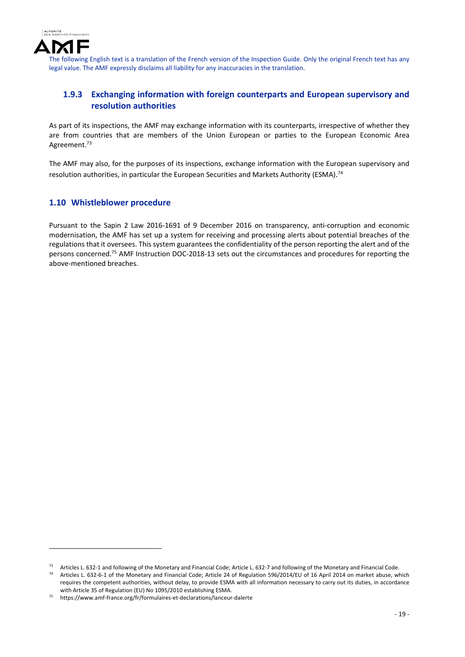

## **1.9.3 Exchanging information with foreign counterparts and European supervisory and resolution authorities**

As part of its inspections, the AMF may exchange information with its counterparts, irrespective of whether they are from countries that are members of the Union European or parties to the European Economic Area Agreement.<sup>73</sup>

The AMF may also, for the purposes of its inspections, exchange information with the European supervisory and resolution authorities, in particular the European Securities and Markets Authority (ESMA).<sup>74</sup>

## **1.10 Whistleblower procedure**

Pursuant to the Sapin 2 Law 2016-1691 of 9 December 2016 on transparency, anti-corruption and economic modernisation, the AMF has set up a system for receiving and processing alerts about potential breaches of the regulations that it oversees. This system guarantees the confidentiality of the person reporting the alert and of the persons concerned.75 AMF Instruction DOC‐2018‐13 sets out the circumstances and procedures for reporting the above‐mentioned breaches.

<sup>&</sup>lt;sup>73</sup> Articles L. 632-1 and following of the Monetary and Financial Code; Article L. 632-7 and following of the Monetary and Financial Code.

<sup>74</sup> Articles L. 632‐6‐1 of the Monetary and Financial Code; Article 24 of Regulation 596/2014/EU of 16 April 2014 on market abuse, which requires the competent authorities, without delay, to provide ESMA with all information necessary to carry out its duties, in accordance with Article 35 of Regulation (EU) No 1095/2010 establishing ESMA.

<sup>75</sup> https://www.amf‐france.org/fr/formulaires‐et‐declarations/lanceur‐dalerte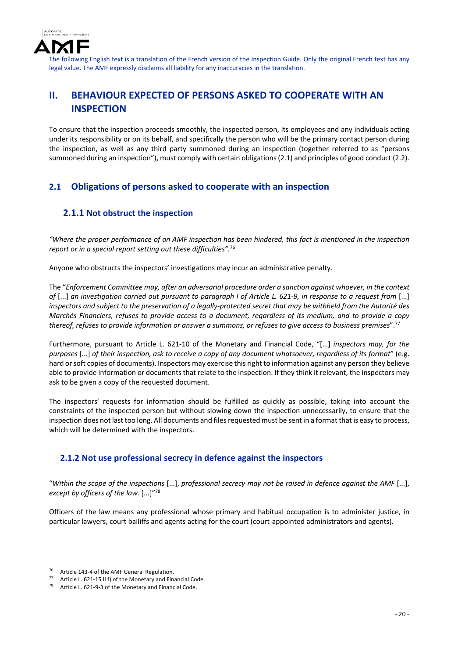

# **II. BEHAVIOUR EXPECTED OF PERSONS ASKED TO COOPERATE WITH AN INSPECTION**

To ensure that the inspection proceeds smoothly, the inspected person, its employees and any individuals acting under its responsibility or on its behalf, and specifically the person who will be the primary contact person during the inspection, as well as any third party summoned during an inspection (together referred to as "persons summoned during an inspection"), must comply with certain obligations (2.1) and principles of good conduct (2.2).

## **2.1 Obligations of persons asked to cooperate with an inspection**

## **2.1.1 Not obstruct the inspection**

"Where the proper performance of an AMF inspection has been hindered, this fact is mentioned in the inspection *report or in a special report setting out these difficulties".*<sup>76</sup>

Anyone who obstructs the inspectors' investigations may incur an administrative penalty.

The "*Enforcement Committee may, after an adversarial procedure order a sanction against whoever, in the context* of [...] an investigation carried out pursuant to paragraph I of Article L. 621-9, in response to a request from [...] inspectors and subject to the preservation of a legally-protected secret that may be withheld from the Autorité des Marchés Financiers, refuses to provide access to a document, regardless of its medium, and to provide a copy thereof, refuses to provide information or answer a summons, or refuses to give access to business premises".<sup>77</sup>

Furthermore, pursuant to Article L. 621‐10 of the Monetary and Financial Code, "[...] *inspectors may, for the* purposes [...] of their inspection, ask to receive a copy of any document whatsoever, regardless of its format" (e.g. hard or soft copies of documents). Inspectors may exercise this right to information against any person they believe able to provide information or documents that relate to the inspection. If they think it relevant, the inspectors may ask to be given a copy of the requested document.

The inspectors' requests for information should be fulfilled as quickly as possible, taking into account the constraints of the inspected person but without slowing down the inspection unnecessarily, to ensure that the inspection does not last too long. All documents and files requested must be sent in a format that is easy to process, which will be determined with the inspectors.

## **2.1.2 Not use professional secrecy in defence against the inspectors**

"Within the scope of the inspections [...], professional secrecy may not be raised in defence against the AMF [...], *except by officers of the law.* [...]"78

Officers of the law means any professional whose primary and habitual occupation is to administer justice, in particular lawyers, court bailiffs and agents acting for the court (court-appointed administrators and agents).

<sup>&</sup>lt;sup>76</sup> Article 143-4 of the AMF General Regulation.

Article L. 621-15 II f) of the Monetary and Financial Code.

Article L. 621-9-3 of the Monetary and Financial Code.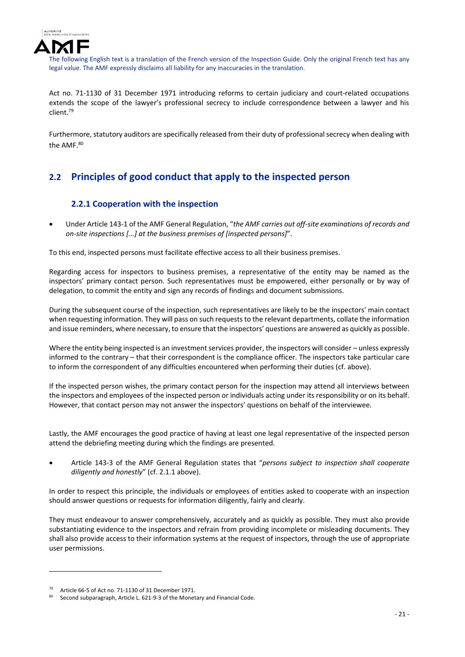

Act no. 71-1130 of 31 December 1971 introducing reforms to certain judiciary and court-related occupations extends the scope of the lawyer's professional secrecy to include correspondence between a lawyer and his client.79

Furthermore, statutory auditors are specifically released from their duty of professionalsecrecy when dealing with the AMF.80

# **2.2 Principles of good conduct that apply to the inspected person**

## **2.2.1 Cooperation with the inspection**

 Under Article 143‐1 of the AMF General Regulation, "*the AMF carries out off‐site examinations of records and on‐site inspections [...] at the business premises of [inspected persons]*".

To this end, inspected persons must facilitate effective access to all their business premises.

Regarding access for inspectors to business premises, a representative of the entity may be named as the inspectors' primary contact person. Such representatives must be empowered, either personally or by way of delegation, to commit the entity and sign any records of findings and document submissions.

During the subsequent course of the inspection, such representatives are likely to be the inspectors' main contact when requesting information. They will pass on such requests to the relevant departments, collate the information and issue reminders, where necessary, to ensure that the inspectors' questions are answered as quickly as possible.

Where the entity being inspected is an investment services provider, the inspectors will consider – unless expressly informed to the contrary – that their correspondent is the compliance officer. The inspectors take particular care to inform the correspondent of any difficulties encountered when performing their duties (cf. above).

If the inspected person wishes, the primary contact person for the inspection may attend all interviews between the inspectors and employees of the inspected person or individuals acting under its responsibility or on its behalf. However, that contact person may not answer the inspectors' questions on behalf of the interviewee.

Lastly, the AMF encourages the good practice of having at least one legal representative of the inspected person attend the debriefing meeting during which the findings are presented.

 Article 143‐3 of the AMF General Regulation states that "*persons subject to inspection shall cooperate diligently and honestly*" (cf. 2.1.1 above).

In order to respect this principle, the individuals or employees of entities asked to cooperate with an inspection should answer questions or requests for information diligently, fairly and clearly.

They must endeavour to answer comprehensively, accurately and as quickly as possible. They must also provide substantiating evidence to the inspectors and refrain from providing incomplete or misleading documents. They shall also provide access to their information systems at the request of inspectors, through the use of appropriate user permissions.

<sup>79</sup> Article 66-5 of Act no. 71-1130 of 31 December 1971.

Second subparagraph, Article L. 621-9-3 of the Monetary and Financial Code.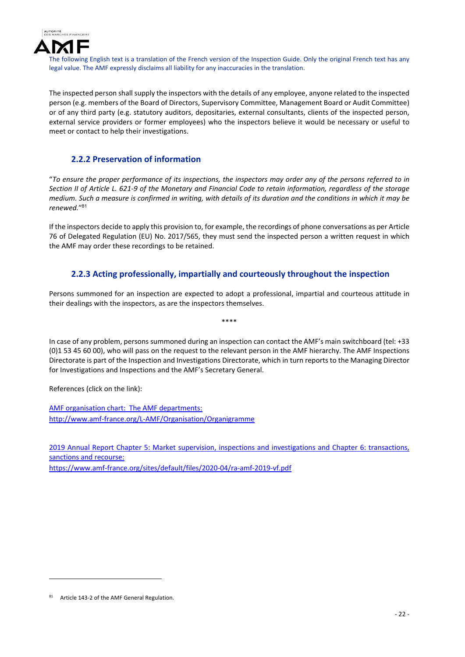

The inspected person shall supply the inspectors with the details of any employee, anyone related to the inspected person (e.g. members of the Board of Directors, Supervisory Committee, Management Board or Audit Committee) or of any third party (e.g. statutory auditors, depositaries, external consultants, clients of the inspected person, external service providers or former employees) who the inspectors believe it would be necessary or useful to meet or contact to help their investigations.

## **2.2.2 Preservation of information**

"To ensure the proper performance of its inspections, the inspectors may order any of the persons referred to in Section II of Article L. 621-9 of the Monetary and Financial Code to retain information, regardless of the storage medium. Such a measure is confirmed in writing, with details of its duration and the conditions in which it may be *renewed.*"<sup>81</sup>

If the inspectors decide to apply this provision to, for example, the recordings of phone conversations as per Article 76 of Delegated Regulation (EU) No. 2017/565, they must send the inspected person a written request in which the AMF may order these recordings to be retained.

## **2.2.3 Acting professionally, impartially and courteously throughout the inspection**

Persons summoned for an inspection are expected to adopt a professional, impartial and courteous attitude in their dealings with the inspectors, as are the inspectors themselves.

\*\*\*\*

In case of any problem, persons summoned during an inspection can contact the AMF's main switchboard (tel: +33 (0)1 53 45 60 00), who will pass on the request to the relevant person in the AMF hierarchy. The AMF Inspections Directorate is part of the Inspection and Investigations Directorate, which in turn reports to the Managing Director for Investigations and Inspections and the AMF's Secretary General.

References (click on the link):

AMF organisation chart: The AMF departments: http://www.amf‐france.org/L‐AMF/Organisation/Organigramme

2019 Annual Report Chapter 5: Market supervision, inspections and investigations and Chapter 6: transactions, sanctions and recourse: https://www.amf‐france.org/sites/default/files/2020‐04/ra‐amf‐2019‐vf.pdf

<sup>81</sup> Article 143-2 of the AMF General Regulation.